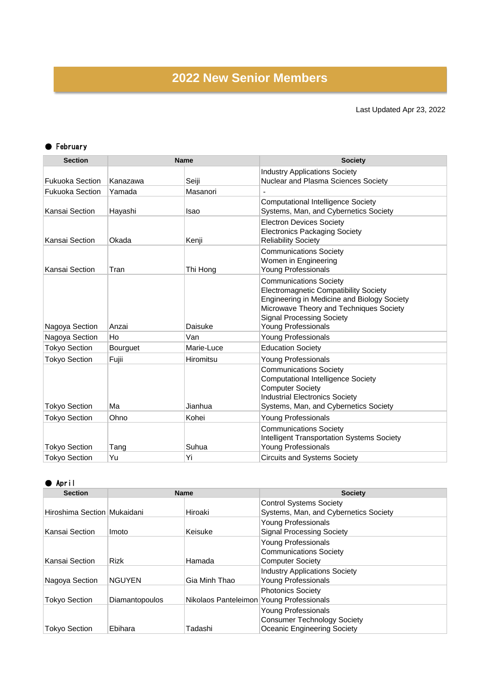## **2022 New Senior Members**

## Last Updated Apr 23, 2022

## ● February

| <b>Section</b>         | <b>Name</b>     |             | <b>Society</b>                                                                                                                                                                                                                                   |
|------------------------|-----------------|-------------|--------------------------------------------------------------------------------------------------------------------------------------------------------------------------------------------------------------------------------------------------|
|                        |                 |             | <b>Industry Applications Society</b>                                                                                                                                                                                                             |
| <b>Fukuoka Section</b> | Kanazawa        | Seiji       | <b>Nuclear and Plasma Sciences Society</b>                                                                                                                                                                                                       |
| <b>Fukuoka Section</b> | Yamada          | Masanori    |                                                                                                                                                                                                                                                  |
| Kansai Section         | Hayashi         | <b>Isao</b> | <b>Computational Intelligence Society</b><br>Systems, Man, and Cybernetics Society                                                                                                                                                               |
| Kansai Section         | Okada           | Kenji       | <b>Electron Devices Society</b><br><b>Electronics Packaging Society</b><br><b>Reliability Society</b>                                                                                                                                            |
| Kansai Section         | Tran            | Thi Hong    | <b>Communications Society</b><br>Women in Engineering<br><b>Young Professionals</b>                                                                                                                                                              |
| Nagoya Section         | Anzai           | Daisuke     | <b>Communications Society</b><br><b>Electromagnetic Compatibility Society</b><br><b>Engineering in Medicine and Biology Society</b><br>Microwave Theory and Techniques Society<br><b>Signal Processing Society</b><br><b>Young Professionals</b> |
| Nagoya Section         | Ho              | Van         | <b>Young Professionals</b>                                                                                                                                                                                                                       |
| <b>Tokyo Section</b>   | <b>Bourguet</b> | Marie-Luce  | <b>Education Society</b>                                                                                                                                                                                                                         |
| <b>Tokyo Section</b>   | Fujii           | Hiromitsu   | <b>Young Professionals</b>                                                                                                                                                                                                                       |
| <b>Tokyo Section</b>   | Ma              | Jianhua     | <b>Communications Society</b><br><b>Computational Intelligence Society</b><br><b>Computer Society</b><br><b>Industrial Electronics Society</b><br>Systems, Man, and Cybernetics Society                                                          |
| <b>Tokyo Section</b>   | Ohno            | Kohei       | Young Professionals                                                                                                                                                                                                                              |
| <b>Tokyo Section</b>   | Tang            | Suhua       | <b>Communications Society</b><br><b>Intelligent Transportation Systems Society</b><br><b>Young Professionals</b>                                                                                                                                 |
| <b>Tokyo Section</b>   | Yu              | Yi          | <b>Circuits and Systems Society</b>                                                                                                                                                                                                              |

## ● April

| <b>Section</b>              | <b>Name</b>    |                                          | <b>Society</b>                                                                                  |
|-----------------------------|----------------|------------------------------------------|-------------------------------------------------------------------------------------------------|
| Hiroshima Section Mukaidani |                | Hiroaki                                  | <b>Control Systems Society</b><br>Systems, Man, and Cybernetics Society                         |
| Kansai Section              | Imoto          | Keisuke                                  | <b>Young Professionals</b><br><b>Signal Processing Society</b>                                  |
| Kansai Section              | <b>Rizk</b>    | Hamada                                   | <b>Young Professionals</b><br><b>Communications Society</b><br><b>Computer Society</b>          |
| Nagoya Section              | <b>NGUYEN</b>  | Gia Minh Thao                            | <b>Industry Applications Society</b><br><b>Young Professionals</b>                              |
| <b>Tokyo Section</b>        | Diamantopoulos | Nikolaos Panteleimon Young Professionals | <b>Photonics Society</b>                                                                        |
| <b>Tokyo Section</b>        | Ebihara        | Tadashi                                  | <b>Young Professionals</b><br><b>Consumer Technology Society</b><br>Oceanic Engineering Society |